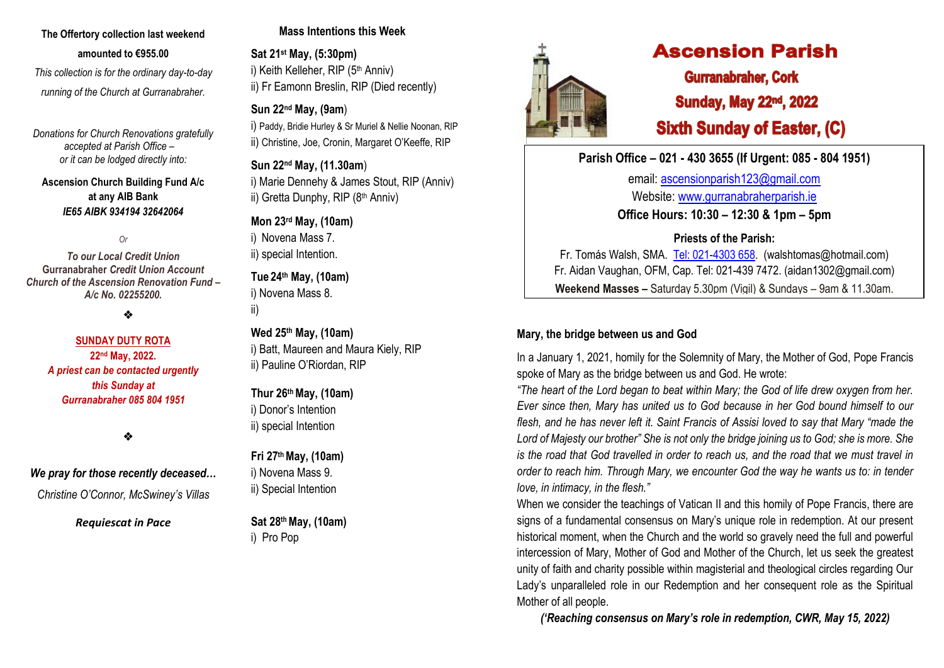# **The Offertory collection last weekend amounted to €955.00**

 *This collection is for the ordinary day-to-day running of the Church at Gurranabraher.*

*Donations for Church Renovations gratefully accepted at Parish Office – or it can be lodged directly into:*

**Ascension Church Building Fund A/c at any AIB Bank**  *IE65 AIBK 934194 32642064*

*Or* 

*To our Local Credit Union* **Gurranabraher** *Credit Union Account Church of the Ascension Renovation Fund – A/c No. 02255200.*

❖

#### **SUNDAY DUTY ROTA 22nd May, 2022.** *A priest can be contacted urgently this Sunday at Gurranabraher 085 804 1951*

❖

## *We pray for those recently deceased…*

*Christine O'Connor, McSwiney's Villas*

#### *Requiescat in Pace*

# **Mass Intentions this Week**

**Sat 21st May, (5:30pm)** i) Keith Kelleher, RIP (5<sup>th</sup> Anniv) ii) Fr Eamonn Breslin, RIP (Died recently)

# **Sun 22nd May, (9am**)

i) Paddy, Bridie Hurley & Sr Muriel & Nellie Noonan, RIP ii) Christine, Joe, Cronin, Margaret O'Keeffe, RIP

**Sun 22nd May, (11.30am**) i) Marie Dennehy & James Stout, RIP (Anniv) ii) Gretta Dunphy, RIP (8th Anniv)

## **Mon 23rd May, (10am)**

i) Novena Mass 7. ii) special Intention.

**Tue 24th May, (10am)** i) Novena Mass 8.

ii)

**Wed 25th May, (10am)** i) Batt, Maureen and Maura Kiely, RIP ii) Pauline O'Riordan, RIP

**Thur 26thMay, (10am)** i) Donor's Intention ii) special Intention

## **Fri 27 thMay, (10am)** i) Novena Mass 9. ii) Special Intention

**Sat 28 th May, (10am)** i) Pro Pop



# **Ascension Parish**

**Gurranabraher, Cork Sunday, May 22nd, 2022 Sixth Sunday of Easter, (C)** 

# **Parish Office – 021 - 430 3655 (If Urgent: 085 - 804 1951)**

email: [ascensionparish123@gmail.com](mailto:ascensionparish123@gmail.com) Website: [www.gurranabraherparish.ie](http://www.gurranabraherparish.ie/) **Office Hours: 10:30 – 12:30 & 1pm – 5pm**

# **Priests of the Parish:**

Fr. Tomás Walsh, SMA. [Tel: 021-4303 658.](mailto:Tel:%20021-4303%20658) (walshtomas@hotmail.com) Fr. Aidan Vaughan, OFM, Cap. Tel: 021-439 7472. [\(aidan1302@gmail.com\)](mailto:aidan1302@gmail.com) **Weekend Masses –** Saturday 5.30pm (Vigil) & Sundays – 9am & 11.30am.

# **Mary, the bridge between us and God**

In a January 1, 2021, homily for the Solemnity of Mary, the Mother of God, Pope Francis spoke of Mary as the bridge between us and God. He wrote:

*"The heart of the Lord began to beat within Mary; the God of life drew oxygen from her. Ever since then, Mary has united us to God because in her God bound himself to our flesh, and he has never left it. Saint Francis of Assisi loved to say that Mary "made the Lord of Majesty our brother" She is not only the bridge joining us to God; she is more. She is the road that God travelled in order to reach us, and the road that we must travel in order to reach him. Through Mary, we encounter God the way he wants us to: in tender love, in intimacy, in the flesh."* 

When we consider the teachings of Vatican II and this homily of Pope Francis, there are signs of a fundamental consensus on Mary's unique role in redemption. At our present historical moment, when the Church and the world so gravely need the full and powerful intercession of Mary, Mother of God and Mother of the Church, let us seek the greatest unity of faith and charity possible within magisterial and theological circles regarding Our Lady's unparalleled role in our Redemption and her consequent role as the Spiritual Mother of all people.

*('Reaching consensus on Mary's role in redemption, CWR, May 15, 2022)*